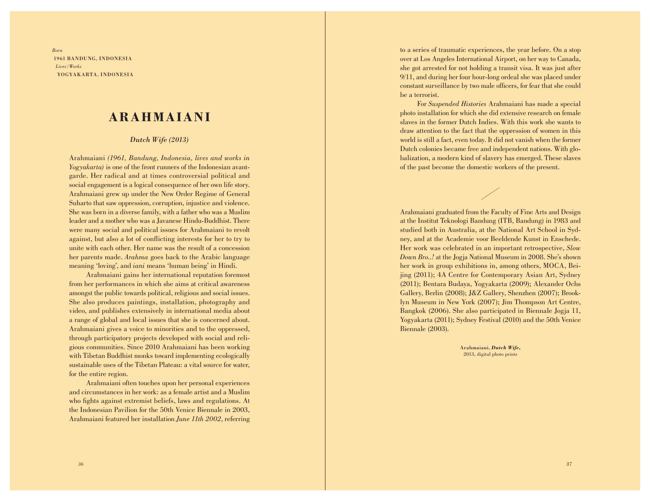*Born* 1961 BANDUNG, INDONESIA *Lives/Works* YOGYAKARTA, INDONESIA

## **ARAHMAIANI**

## *Dutch Wife (2013)*

Arahmaiani *(1961, Bandung, Indonesia, lives and works in Yogyakarta)* is one of the front runners of the Indonesian avantgarde. Her radical and at times controversial political and social engagement is a logical consequence of her own life story. Arahmaiani grew up under the New Order Regime of General Suharto that saw oppression, corruption, injustice and violence. She was born in a diverse family, with a father who was a Muslim leader and a mother who was a Javanese Hindu-Buddhist. There were many social and political issues for Arahmaiani to revolt against, but also a lot of conflicting interests for her to try to unite with each other. Her name was the result of a concession her parents made. *Arahma* goes back to the Arabic language meaning 'loving', and *iani* means 'human being' in Hindi.

Arahmaiani gains her international reputation foremost from her performances in which she aims at critical awareness amongst the public towards political, religious and social issues. She also produces paintings, installation, photography and video, and publishes extensively in international media about a range of global and local issues that she is concerned about. Arahmaiani gives a voice to minorities and to the oppressed, through participatory projects developed with social and religious communities. Since 2010 Arahmaiani has been working with Tibetan Buddhist monks toward implementing ecologically sustainable uses of the Tibetan Plateau: a vital source for water, for the entire region.

Arahmaiani often touches upon her personal experiences and circumstances in her work: as a female artist and a Muslim who fights against extremist beliefs, laws and regulations. At the Indonesian Pavilion for the 50th Venice Biennale in 2003, Arahmaiani featured her installation *June 11th 2002*, referring to a series of traumatic experiences, the year before. On a stop over at Los Angeles International Airport, on her way to Canada, she got arrested for not holding a transit visa. It was just after 9/11, and during her four hour-long ordeal she was placed under constant surveillance by two male officers, for fear that she could be a terrorist.

For *Suspended Histories* Arahmaiani has made a special photo installation for which she did extensive research on female slaves in the former Dutch Indies. With this work she wants to draw attention to the fact that the oppression of women in this world is still a fact, even today. It did not vanish when the former Dutch colonies became free and independent nations. With globalization, a modern kind of slavery has emerged. These slaves of the past become the domestic workers of the present.

Arahmaiani graduated from the Faculty of Fine Arts and Design at the Institut Teknologi Bandung (ITB, Bandung) in 1983 and studied both in Australia, at the National Art School in Sydney, and at the Academie voor Beeldende Kunst in Enschede. Her work was celebrated in an important retrospective, *Slow Down Bro..!* at the Jogja National Museum in 2008. She's shown her work in group exhibitions in, among others, MOCA, Beijing (2011); 4A Centre for Contemporary Asian Art, Sydney (2011); Bentara Budaya, Yogyakarta (2009); Alexander Ochs Gallery, Berlin (2008); J&Z Gallery, Shenzhen (2007); Brooklyn Museum in New York (2007); Jim Thompson Art Centre, Bangkok (2006). She also participated in Biennale Jogja 11, Yogyakarta (2011); Sydney Festival (2010) and the 50th Venice Biennale (2003).

> Arahmaiani, *Dutch Wife,*  2013, digital photo prints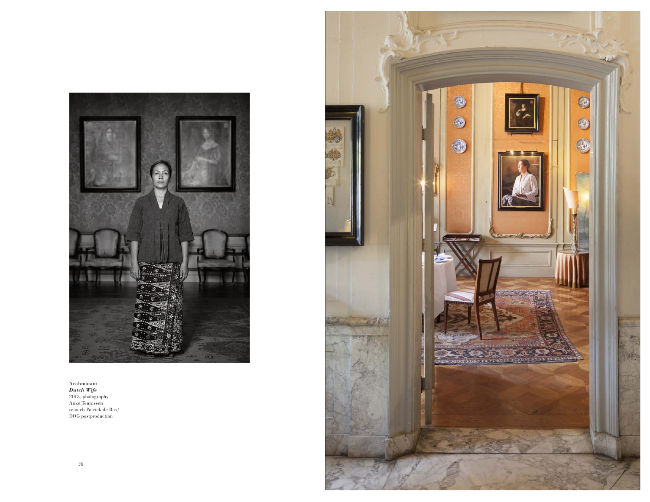

Arahmaiani *Dutch Wife* 2013, photography Anke Teunissen retouch Patrick de Bas/ DOG postproduction